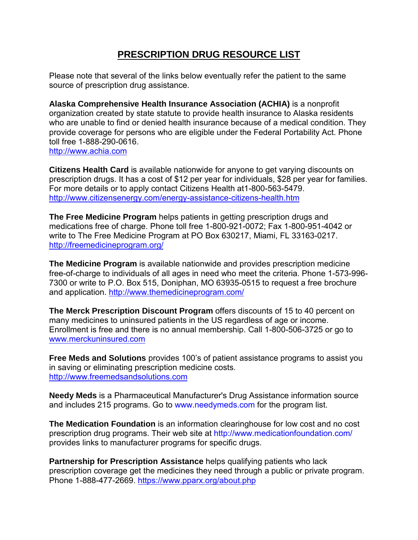## **PRESCRIPTION DRUG RESOURCE LIST**

Please note that several of the links below eventually refer the patient to the same source of prescription drug assistance.

**Alaska Comprehensive Health Insurance Association (ACHIA)** is a nonprofit organization created by state statute to provide health insurance to Alaska residents who are unable to find or denied health insurance because of a medical condition. They provide coverage for persons who are eligible under the Federal Portability Act. Phone toll free 1-888-290-0616. [http://www.achia.com](http://www.achia.com/)

**Citizens Health Card** is available nationwide for anyone to get varying discounts on prescription drugs. It has a cost of \$12 per year for individuals, \$28 per year for families. For more details or to apply contact Citizens Health at1-800-563-5479. <http://www.citizensenergy.com/energy-assistance-citizens-health.htm>

**The Free Medicine Program** helps patients in getting prescription drugs and medications free of charge. Phone toll free 1-800-921-0072; Fax 1-800-951-4042 or write to The Free Medicine Program at PO Box 630217, Miami, FL 33163-0217. <http://freemedicineprogram.org/>

**The Medicine Program** is available nationwide and provides prescription medicine free-of-charge to individuals of all ages in need who meet the criteria. Phone 1-573-996- 7300 or write to P.O. Box 515, Doniphan, MO 63935-0515 to request a free brochure and application.<http://www.themedicineprogram.com/>

**The Merck Prescription Discount Program** offers discounts of 15 to 40 percent on many medicines to uninsured patients in the US regardless of age or income. Enrollment is free and there is no annual membership. Call 1-800-506-3725 or go to [www.merckuninsured.com](http://www.merckuninsured.com/)

**Free Meds and Solutions** provides 100's of patient assistance programs to assist you in saving or eliminating prescription medicine costs. [http://www.freemedsandsolutions.com](http://www.freemedsandsolutions.com/)

**Needy Meds** is a Pharmaceutical Manufacturer's Drug Assistance information source and includes 215 programs. Go to www.needymeds.com for the program list.

**The Medication Foundation** is an information clearinghouse for low cost and no cost prescription drug programs. Their web site at http://www.medicationfoundation.com/ provides links to manufacturer programs for specific drugs.

**Partnership for Prescription Assistance** helps qualifying patients who lack prescription coverage get the medicines they need through a public or private program. Phone 1-888-477-2669.<https://www.pparx.org/about.php>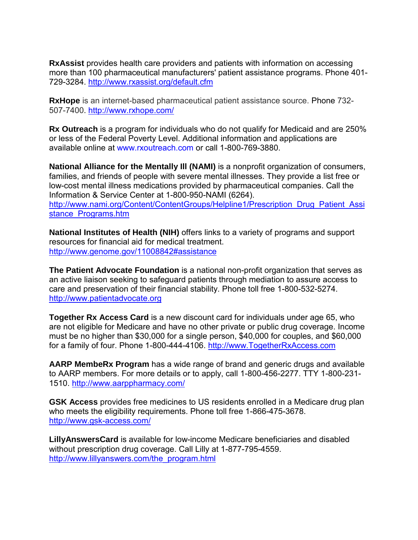**RxAssist** provides health care providers and patients with information on accessing more than 100 pharmaceutical manufacturers' patient assistance programs. Phone 401- 729-3284. <http://www.rxassist.org/default.cfm>

**RxHope** is an internet-based pharmaceutical patient assistance source. Phone 732- 507-7400.<http://www.rxhope.com/>

**Rx Outreach** is a program for individuals who do not qualify for Medicaid and are 250% or less of the Federal Poverty Level. Additional information and applications are available online at www.rxoutreach.com or call 1-800-769-3880.

**National Alliance for the Mentally Ill (NAMI)** is a nonprofit organization of consumers, families, and friends of people with severe mental illnesses. They provide a list free or low-cost mental illness medications provided by pharmaceutical companies. Call the Information & Service Center at 1-800-950-NAMI (6264). [http://www.nami.org/Content/ContentGroups/Helpline1/Prescription\\_Drug\\_Patient\\_Assi](http://www.nami.org/Content/ContentGroups/Helpline1/Prescription_Drug_Patient_Assistance_Programs.htm) stance Programs.htm

**National Institutes of Health (NIH)** offers links to a variety of programs and support resources for financial aid for medical treatment. <http://www.genome.gov/11008842#assistance>

**The Patient Advocate Foundation** is a national non-profit organization that serves as an active liaison seeking to safeguard patients through mediation to assure access to care and preservation of their financial stability. Phone toll free 1-800-532-5274. [http://www.patientadvocate.org](http://www.patientadvocate.org/)

**Together Rx Access Card** is a new discount card for individuals under age 65, who are not eligible for Medicare and have no other private or public drug coverage. Income must be no higher than \$30,000 for a single person, \$40,000 for couples, and \$60,000 for a family of four. Phone 1-800-444-4106. [http://www.TogetherRxAccess.com](http://www.togetherrxaccess.com/)

**AARP MembeRx Program** has a wide range of brand and generic drugs and available to AARP members. For more details or to apply, call 1-800-456-2277. TTY 1-800-231- 1510.<http://www.aarppharmacy.com/>

**GSK Access** provides free medicines to US residents enrolled in a Medicare drug plan who meets the eligibility requirements. Phone toll free 1-866-475-3678. <http://www.gsk-access.com/>

**LillyAnswersCard** is available for low-income Medicare beneficiaries and disabled without prescription drug coverage. Call Lilly at 1-877-795-4559. [http://www.lillyanswers.com/the\\_program.html](http://www.lillyanswers.com/the_program.html)